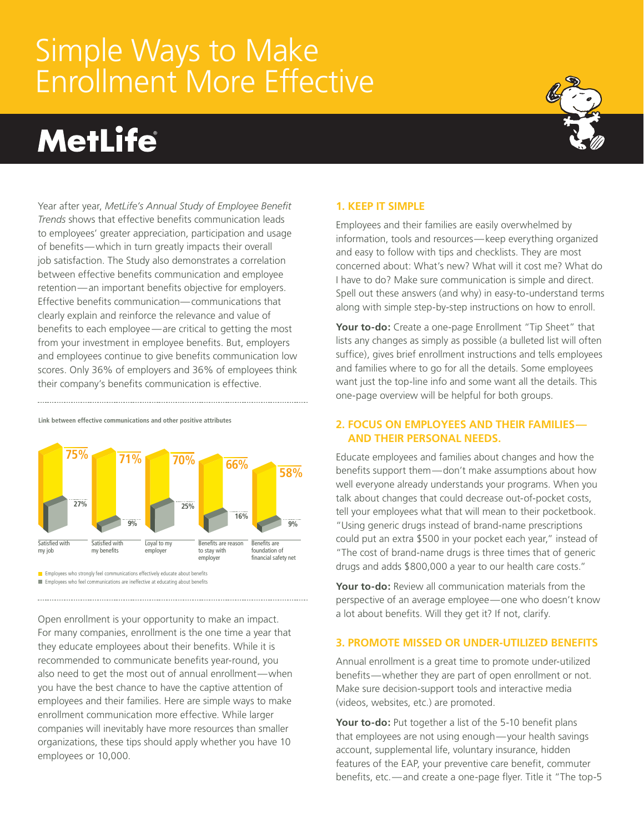# Simple Ways to Make Enrollment More Effective

# **MetLife**



Year after year, *MetLife's Annual Study of Employee Benefit Trends* shows that effective benefits communication leads to employees' greater appreciation, participation and usage of benefits—which in turn greatly impacts their overall job satisfaction. The Study also demonstrates a correlation between effective benefits communication and employee retention—an important benefits objective for employers. Effective benefits communication—communications that clearly explain and reinforce the relevance and value of benefits to each employee —are critical to getting the most from your investment in employee benefits. But, employers and employees continue to give benefits communication low scores. Only 36% of employers and 36% of employees think their company's benefits communication is effective.

Satisfied with my job **27% 75% 9% 71% 25% 70% 16% 66% 9% 58%** Satisfied with my benefits Loyal to my employer Benefits are reason to stay with employer Benefits are foundation of financial safety net

**Link between effective communications and other positive attributes**

 $\blacksquare$  Employees who strongly feel communications effectively educate about benefits **Employees who feel communications are ineffective at educating about benefits** 

Open enrollment is your opportunity to make an impact. For many companies, enrollment is the one time a year that they educate employees about their benefits. While it is recommended to communicate benefits year-round, you also need to get the most out of annual enrollment—when you have the best chance to have the captive attention of employees and their families. Here are simple ways to make enrollment communication more effective. While larger companies will inevitably have more resources than smaller organizations, these tips should apply whether you have 10 employees or 10,000.

#### **1. Keep it simple**

Employees and their families are easily overwhelmed by information, tools and resources—keep everything organized and easy to follow with tips and checklists. They are most concerned about: What's new? What will it cost me? What do I have to do? Make sure communication is simple and direct. Spell out these answers (and why) in easy-to-understand terms along with simple step-by-step instructions on how to enroll.

**Your to-do:** Create a one-page Enrollment "Tip Sheet" that lists any changes as simply as possible (a bulleted list will often suffice), gives brief enrollment instructions and tells employees and families where to go for all the details. Some employees want just the top-line info and some want all the details. This one-page overview will be helpful for both groups.

#### **2. Focus on employees and their families and their personal needs.**

Educate employees and families about changes and how the benefits support them—don't make assumptions about how well everyone already understands your programs. When you talk about changes that could decrease out-of-pocket costs, tell your employees what that will mean to their pocketbook. "Using generic drugs instead of brand-name prescriptions could put an extra \$500 in your pocket each year," instead of "The cost of brand-name drugs is three times that of generic drugs and adds \$800,000 a year to our health care costs."

**Your to-do:** Review all communication materials from the perspective of an average employee—one who doesn't know a lot about benefits. Will they get it? If not, clarify.

## **3. Promote missed or under-utilized benefits**

Annual enrollment is a great time to promote under-utilized benefits—whether they are part of open enrollment or not. Make sure decision-support tools and interactive media (videos, websites, etc.) are promoted.

**Your to-do:** Put together a list of the 5-10 benefit plans that employees are not using enough—your health savings account, supplemental life, voluntary insurance, hidden features of the EAP, your preventive care benefit, commuter benefits, etc.—and create a one-page flyer. Title it "The top-5